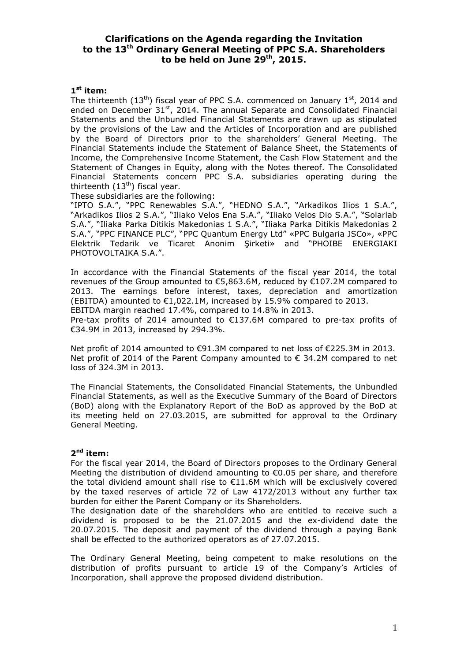# **Clarifications on the Agenda regarding the Invitation to the 13 th Ordinary General Meeting of PPC S.A. Shareholders to be held on June 29 th , 2015.**

## **1 st item:**

The thirteenth (13<sup>th</sup>) fiscal year of PPC S.A. commenced on January 1<sup>st</sup>, 2014 and ended on December 31<sup>st</sup>, 2014. The annual Separate and Consolidated Financial Statements and the Unbundled Financial Statements are drawn up as stipulated by the provisions of the Law and the Articles of Incorporation and are published by the Board of Directors prior to the shareholders' General Meeting. The Financial Statements include the Statement of Balance Sheet, the Statements of Income, the Comprehensive Income Statement, the Cash Flow Statement and the Statement of Changes in Equity, along with the Notes thereof. The Consolidated Financial Statements concern PPC S.A. subsidiaries operating during the thirteenth  $(13<sup>th</sup>)$  fiscal year.

These subsidiaries are the following:

"IPTO S.A.", "PPC Renewables S.A.", "HEDNO S.A.", "Arkadikos Ilios 1 S.A.", "Arkadikos Ilios 2 S.A.", "Iliako Velos Ena S.A.", "Iliako Velos Dio S.A.", "Solarlab S.A.", "Iliaka Parka Ditikis Makedonias 1 S.A.", "Iliaka Parka Ditikis Makedonias 2 S.A.", "PPC FINANCE PLC", "PPC Quantum Energy Ltd" «PPC Bulgaria JSCo», «PPC Elektrik Tedarik ve Ticaret Anonim Şirketi» and "PHOIBE ENERGIAKI PHOTOVOLTAIKA S.A.".

In accordance with the Financial Statements of the fiscal year 2014, the total revenues of the Group amounted to €5,863.6M, reduced by €107.2M compared to 2013. The earnings before interest, taxes, depreciation and amortization (EBITDA) amounted to €1,022.1M, increased by 15.9% compared to 2013. ΕΒΙΤDΑ margin reached 17.4%, compared to 14.8% in 2013.

Pre-tax profits of 2014 amounted to €137.6M compared to pre-tax profits of €34.9M in 2013, increased by 294.3%.

Net profit of 2014 amounted to €91.3M compared to net loss of €225.3M in 2013. Net profit of 2014 of the Parent Company amounted to  $\epsilon$  34.2M compared to net loss of 324.3M in 2013.

The Financial Statements, the Consolidated Financial Statements, the Unbundled Financial Statements, as well as the Executive Summary of the Board of Directors (BoD) along with the Explanatory Report of the BoD as approved by the BoD at its meeting held on 27.03.2015, are submitted for approval to the Ordinary General Meeting.

### **2 nd item:**

For the fiscal year 2014, the Board of Directors proposes to the Ordinary General Meeting the distribution of dividend amounting to €0.05 per share, and therefore the total dividend amount shall rise to €11.6M which will be exclusively covered by the taxed reserves of article 72 of Law 4172/2013 without any further tax burden for either the Parent Company or its Shareholders.

The designation date of the shareholders who are entitled to receive such a dividend is proposed to be the 21.07.2015 and the ex-dividend date the 20.07.2015. The deposit and payment of the dividend through a paying Bank shall be effected to the authorized operators as of 27.07.2015.

The Ordinary General Meeting, being competent to make resolutions on the distribution of profits pursuant to article 19 of the Company's Articles of Incorporation, shall approve the proposed dividend distribution.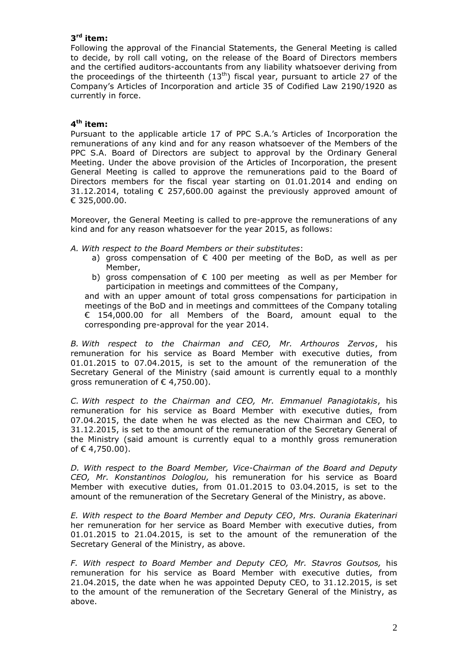# **3 rd item:**

Following the approval of the Financial Statements, the General Meeting is called to decide, by roll call voting, on the release of the Board of Directors members and the certified auditors-accountants from any liability whatsoever deriving from the proceedings of the thirteenth  $(13<sup>th</sup>)$  fiscal year, pursuant to article 27 of the Company's Articles of Incorporation and article 35 of Codified Law 2190/1920 as currently in force.

## **4 th item:**

Pursuant to the applicable article 17 of PPC S.A.'s Articles of Incorporation the remunerations of any kind and for any reason whatsoever of the Members of the PPC S.A. Board of Directors are subject to approval by the Ordinary General Meeting. Under the above provision of the Articles of Incorporation, the present General Meeting is called to approve the remunerations paid to the Board of Directors members for the fiscal year starting on 01.01.2014 and ending on 31.12.2014, totaling  $\epsilon$  257,600.00 against the previously approved amount of € 325,000.00.

Moreover, the General Meeting is called to pre-approve the remunerations of any kind and for any reason whatsoever for the year 2015, as follows:

*A. With respect to the Board Members or their substitutes*:

- a) gross compensation of  $\epsilon$  400 per meeting of the BoD, as well as per Member,
- b) gross compensation of  $\epsilon$  100 per meeting as well as per Member for participation in meetings and committees of the Company,

and with an upper amount of total gross compensations for participation in meetings of the BoD and in meetings and committees of the Company totaling € 154,000.00 for all Members of the Board, amount equal to the corresponding pre-approval for the year 2014.

*B. With respect to the Chairman and CEO, Mr. Arthouros Zervos*, his remuneration for his service as Board Member with executive duties, from 01.01.2015 to 07.04.2015, is set to the amount of the remuneration of the Secretary General of the Ministry (said amount is currently equal to a monthly gross remuneration of  $\epsilon$  4,750.00).

*C. With respect to the Chairman and CEO, Mr. Emmanuel Panagiotakis*, his remuneration for his service as Board Member with executive duties, from 07.04.2015, the date when he was elected as the new Chairman and CEO, to 31.12.2015, is set to the amount of the remuneration of the Secretary General of the Ministry (said amount is currently equal to a monthly gross remuneration of € 4,750,00).

*D. With respect to the Board Member, Vice-Chairman of the Board and Deputy CEO, Mr. Konstantinos Dologlou,* his remuneration for his service as Board Member with executive duties, from 01.01.2015 to 03.04.2015, is set to the amount of the remuneration of the Secretary General of the Ministry, as above.

*E. With respect to the Board Member and Deputy CEO*, *Mrs. Ourania Εkaterinari* her remuneration for her service as Board Member with executive duties, from 01.01.2015 to 21.04.2015, is set to the amount of the remuneration of the Secretary General of the Ministry, as above.

*F. With respect to Board Member and Deputy CEO, Mr. Stavros Goutsos,* his remuneration for his service as Board Member with executive duties, from 21.04.2015, the date when he was appointed Deputy CEO, to 31.12.2015, is set to the amount of the remuneration of the Secretary General of the Ministry, as above.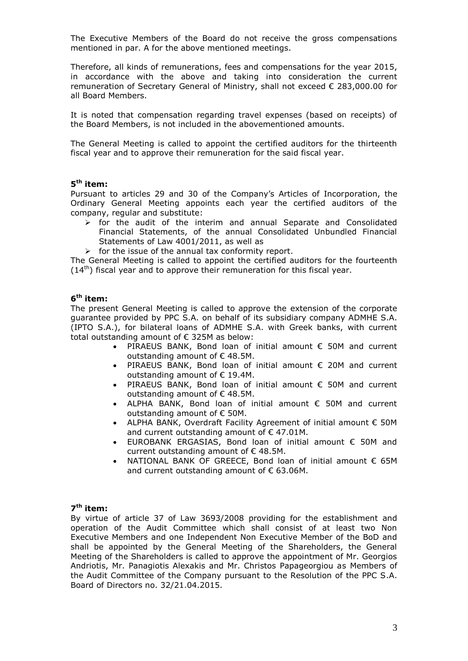The Executive Members of the Board do not receive the gross compensations mentioned in par. A for the above mentioned meetings.

Therefore, all kinds of remunerations, fees and compensations for the year 2015, in accordance with the above and taking into consideration the current remuneration of Secretary General of Ministry, shall not exceed € 283,000.00 for all Board Members.

It is noted that compensation regarding travel expenses (based on receipts) of the Board Members, is not included in the abovementioned amounts.

The General Meeting is called to appoint the certified auditors for the thirteenth fiscal year and to approve their remuneration for the said fiscal year.

### **5 th item:**

Pursuant to articles 29 and 30 of the Company's Articles of Incorporation, the Ordinary General Meeting appoints each year the certified auditors of the company, regular and substitute:

- $\triangleright$  for the audit of the interim and annual Separate and Consolidated Financial Statements, of the annual Consolidated Unbundled Financial Statements of Law 4001/2011, as well as
- $\triangleright$  for the issue of the annual tax conformity report.

The General Meeting is called to appoint the certified auditors for the fourteenth  $(14<sup>th</sup>)$  fiscal year and to approve their remuneration for this fiscal year.

### **6 th item:**

The present General Meeting is called to approve the extension of the corporate guarantee provided by PPC S.A. on behalf of its subsidiary company ADMHE S.A. (IPTO S.A.), for bilateral loans of ADMHE S.A. with Greek banks, with current total outstanding amount of € 325M as below:

- PIRAEUS BANK, Bond loan of initial amount € 50M and current outstanding amount of € 48.5M.
- PIRAEUS BANK, Bond loan of initial amount € 20M and current outstanding amount of € 19.4M.
- PIRAEUS BANK, Bond loan of initial amount € 50M and current outstanding amount of € 48.5M.
- ALPHA BANK, Bond loan of initial amount € 50M and current outstanding amount of € 50M.
- ALPHA BANK, Overdraft Facility Agreement of initial amount € 50M and current outstanding amount of € 47.01M.
- EUROBANK ERGASIAS, Bond loan of initial amount € 50M and current outstanding amount of € 48.5M.
- NATIONAL BANK OF GREECE, Bond loan of initial amount  $\epsilon$  65M and current outstanding amount of  $\epsilon$  63.06M.

### **7 th item:**

By virtue of article 37 of Law 3693/2008 providing for the establishment and operation of the Audit Committee which shall consist of at least two Non Executive Members and one Independent Non Executive Member of the BoD and shall be appointed by the General Meeting of the Shareholders, the General Meeting of the Shareholders is called to approve the appointment of Mr. Georgios Andriotis, Mr. Panagiotis Alexakis and Mr. Christos Papageorgiou as Members of the Audit Committee of the Company pursuant to the Resolution of the PPC S.A. Board of Directors no. 32/21.04.2015.